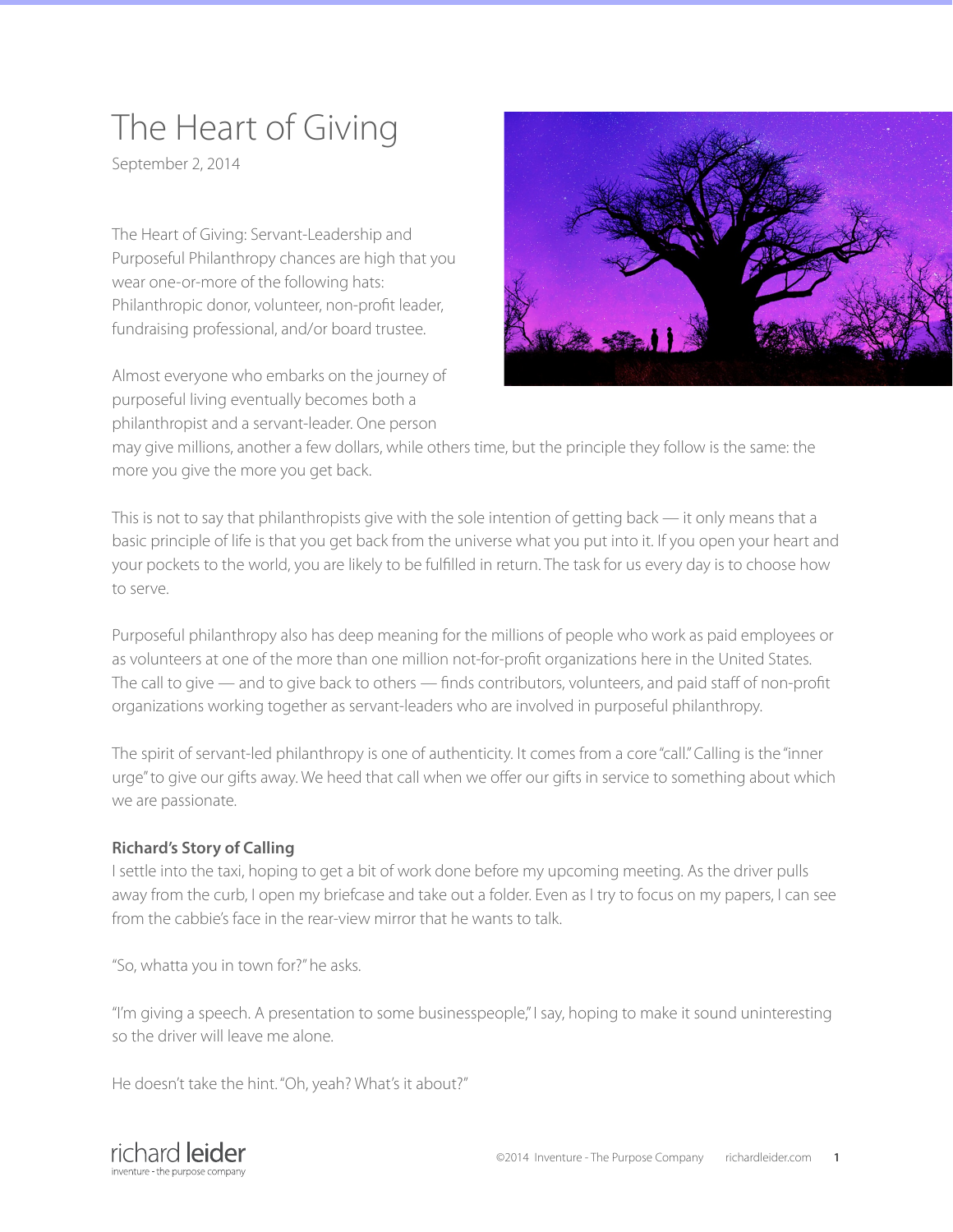# The Heart of Giving

September 2, 2014

The Heart of Giving: Servant-Leadership and Purposeful Philanthropy chances are high that you wear one-or-more of the following hats: Philanthropic donor, volunteer, non-profit leader, fundraising professional, and/or board trustee.

Almost everyone who embarks on the journey of purposeful living eventually becomes both a philanthropist and a servant-leader. One person



may give millions, another a few dollars, while others time, but the principle they follow is the same: the more you give the more you get back.

This is not to say that philanthropists give with the sole intention of getting back — it only means that a basic principle of life is that you get back from the universe what you put into it. If you open your heart and your pockets to the world, you are likely to be fulfilled in return. The task for us every day is to choose how to serve.

Purposeful philanthropy also has deep meaning for the millions of people who work as paid employees or as volunteers at one of the more than one million not-for-profit organizations here in the United States. The call to give — and to give back to others — finds contributors, volunteers, and paid staff of non-profit organizations working together as servant-leaders who are involved in purposeful philanthropy.

The spirit of servant-led philanthropy is one of authenticity. It comes from a core "call." Calling is the "inner urge" to give our gifts away. We heed that call when we offer our gifts in service to something about which we are passionate.

## **Richard's Story of Calling**

I settle into the taxi, hoping to get a bit of work done before my upcoming meeting. As the driver pulls away from the curb, I open my briefcase and take out a folder. Even as I try to focus on my papers, I can see from the cabbie's face in the rear-view mirror that he wants to talk.

"So, whatta you in town for?" he asks.

"I'm giving a speech. A presentation to some businesspeople," I say, hoping to make it sound uninteresting so the driver will leave me alone.

He doesn't take the hint. "Oh, yeah? What's it about?"

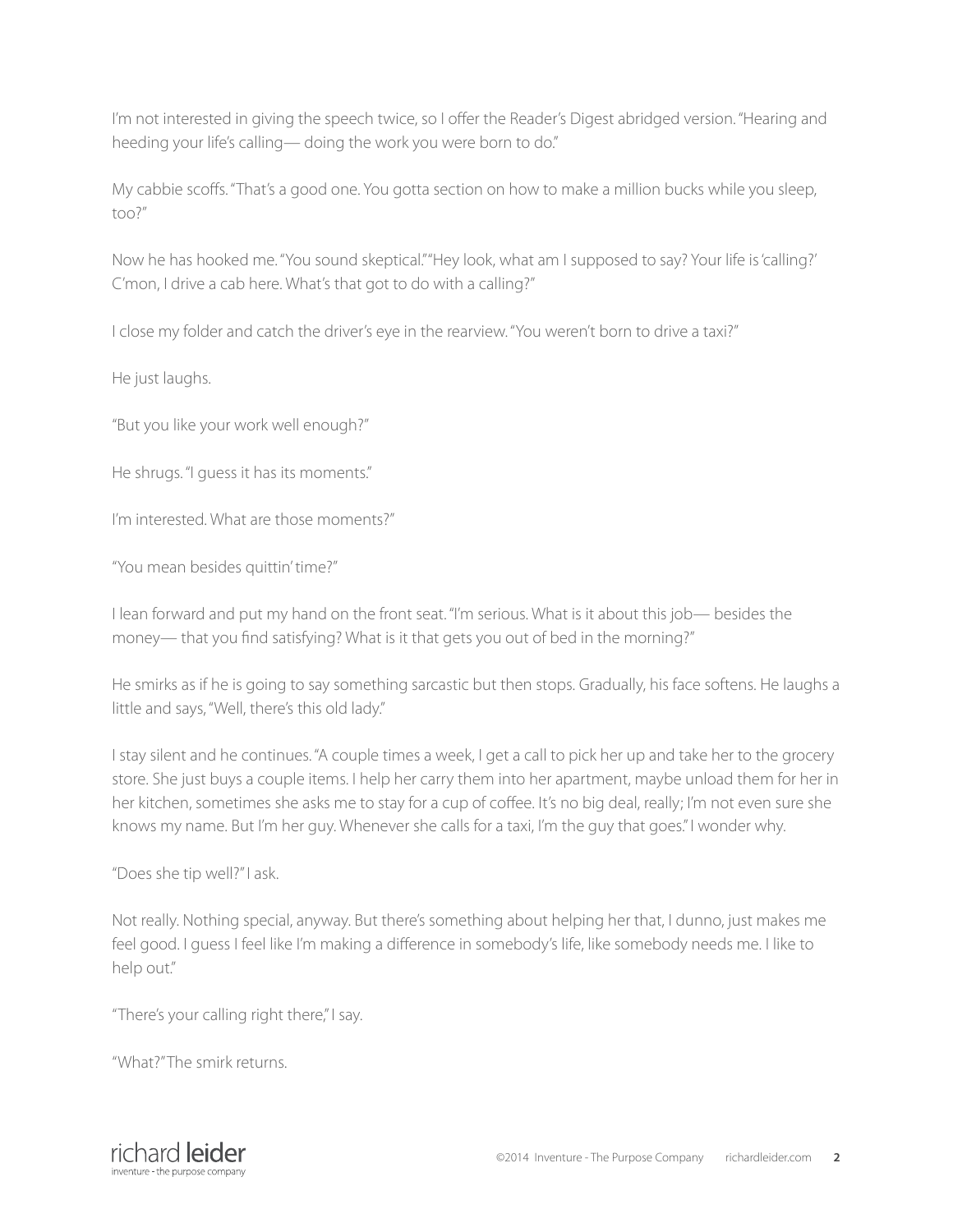I'm not interested in giving the speech twice, so I offer the Reader's Digest abridged version. "Hearing and heeding your life's calling— doing the work you were born to do."

My cabbie scoffs. "That's a good one. You gotta section on how to make a million bucks while you sleep, too?"

Now he has hooked me. "You sound skeptical." "Hey look, what am I supposed to say? Your life is 'calling?' C'mon, I drive a cab here. What's that got to do with a calling?"

I close my folder and catch the driver's eye in the rearview. "You weren't born to drive a taxi?"

He just laughs.

"But you like your work well enough?"

He shrugs. "I guess it has its moments."

I'm interested. What are those moments?"

"You mean besides quittin' time?"

I lean forward and put my hand on the front seat. "I'm serious. What is it about this job— besides the money— that you find satisfying? What is it that gets you out of bed in the morning?"

He smirks as if he is going to say something sarcastic but then stops. Gradually, his face softens. He laughs a little and says, "Well, there's this old lady."

I stay silent and he continues. "A couple times a week, I get a call to pick her up and take her to the grocery store. She just buys a couple items. I help her carry them into her apartment, maybe unload them for her in her kitchen, sometimes she asks me to stay for a cup of coffee. It's no big deal, really; I'm not even sure she knows my name. But I'm her guy. Whenever she calls for a taxi, I'm the guy that goes." I wonder why.

"Does she tip well?" I ask.

Not really. Nothing special, anyway. But there's something about helping her that, I dunno, just makes me feel good. I guess I feel like I'm making a difference in somebody's life, like somebody needs me. I like to help out."

"There's your calling right there," I say.

"What?" The smirk returns.

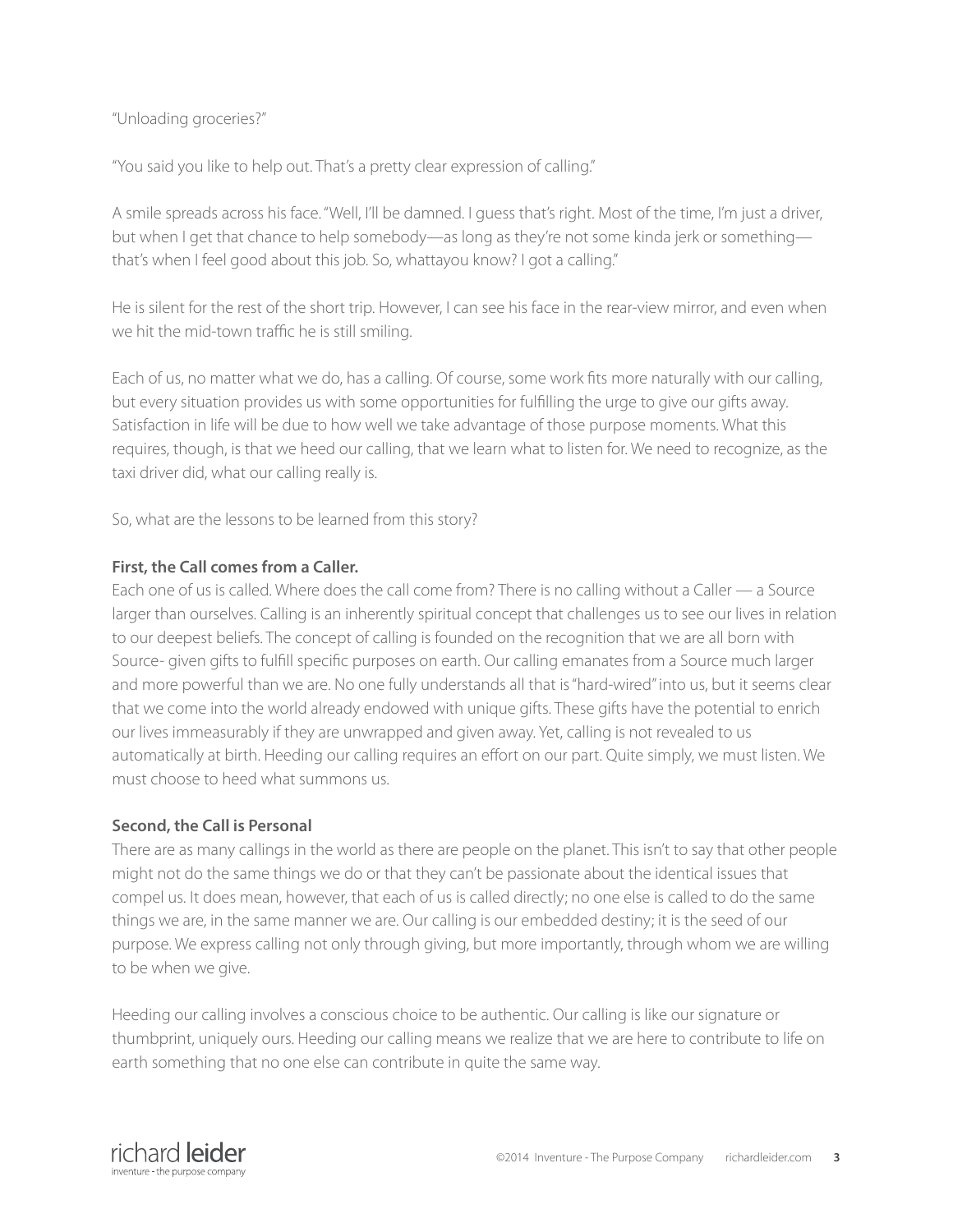## "Unloading groceries?"

"You said you like to help out. That's a pretty clear expression of calling."

A smile spreads across his face. "Well, I'll be damned. I guess that's right. Most of the time, I'm just a driver, but when I get that chance to help somebody—as long as they're not some kinda jerk or something that's when I feel good about this job. So, whattayou know? I got a calling."

He is silent for the rest of the short trip. However, I can see his face in the rear-view mirror, and even when we hit the mid-town traffic he is still smiling.

Each of us, no matter what we do, has a calling. Of course, some work fits more naturally with our calling, but every situation provides us with some opportunities for fulfilling the urge to give our gifts away. Satisfaction in life will be due to how well we take advantage of those purpose moments. What this requires, though, is that we heed our calling, that we learn what to listen for. We need to recognize, as the taxi driver did, what our calling really is.

So, what are the lessons to be learned from this story?

## **First, the Call comes from a Caller.**

Each one of us is called. Where does the call come from? There is no calling without a Caller — a Source larger than ourselves. Calling is an inherently spiritual concept that challenges us to see our lives in relation to our deepest beliefs. The concept of calling is founded on the recognition that we are all born with Source- given gifts to fulfill specific purposes on earth. Our calling emanates from a Source much larger and more powerful than we are. No one fully understands all that is "hard-wired" into us, but it seems clear that we come into the world already endowed with unique gifts. These gifts have the potential to enrich our lives immeasurably if they are unwrapped and given away. Yet, calling is not revealed to us automatically at birth. Heeding our calling requires an effort on our part. Quite simply, we must listen. We must choose to heed what summons us.

## **Second, the Call is Personal**

There are as many callings in the world as there are people on the planet. This isn't to say that other people might not do the same things we do or that they can't be passionate about the identical issues that compel us. It does mean, however, that each of us is called directly; no one else is called to do the same things we are, in the same manner we are. Our calling is our embedded destiny; it is the seed of our purpose. We express calling not only through giving, but more importantly, through whom we are willing to be when we give.

Heeding our calling involves a conscious choice to be authentic. Our calling is like our signature or thumbprint, uniquely ours. Heeding our calling means we realize that we are here to contribute to life on earth something that no one else can contribute in quite the same way.

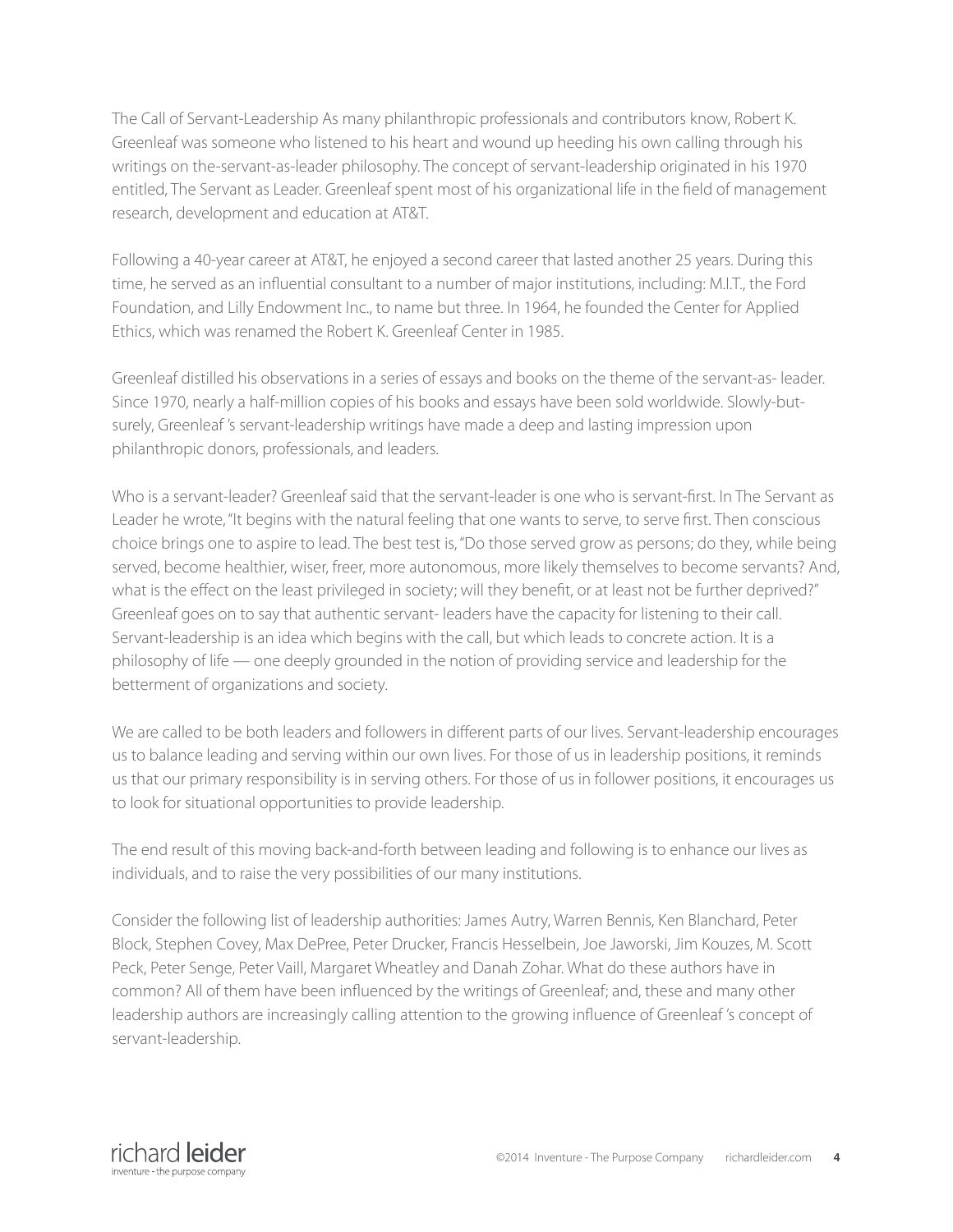The Call of Servant-Leadership As many philanthropic professionals and contributors know, Robert K. Greenleaf was someone who listened to his heart and wound up heeding his own calling through his writings on the-servant-as-leader philosophy. The concept of servant-leadership originated in his 1970 entitled, The Servant as Leader. Greenleaf spent most of his organizational life in the field of management research, development and education at AT&T.

Following a 40-year career at AT&T, he enjoyed a second career that lasted another 25 years. During this time, he served as an influential consultant to a number of major institutions, including: M.I.T., the Ford Foundation, and Lilly Endowment Inc., to name but three. In 1964, he founded the Center for Applied Ethics, which was renamed the Robert K. Greenleaf Center in 1985.

Greenleaf distilled his observations in a series of essays and books on the theme of the servant-as- leader. Since 1970, nearly a half-million copies of his books and essays have been sold worldwide. Slowly-butsurely, Greenleaf 's servant-leadership writings have made a deep and lasting impression upon philanthropic donors, professionals, and leaders.

Who is a servant-leader? Greenleaf said that the servant-leader is one who is servant-first. In The Servant as Leader he wrote, "It begins with the natural feeling that one wants to serve, to serve first. Then conscious choice brings one to aspire to lead. The best test is, "Do those served grow as persons; do they, while being served, become healthier, wiser, freer, more autonomous, more likely themselves to become servants? And, what is the effect on the least privileged in society; will they benefit, or at least not be further deprived?" Greenleaf goes on to say that authentic servant- leaders have the capacity for listening to their call. Servant-leadership is an idea which begins with the call, but which leads to concrete action. It is a philosophy of life — one deeply grounded in the notion of providing service and leadership for the betterment of organizations and society.

We are called to be both leaders and followers in different parts of our lives. Servant-leadership encourages us to balance leading and serving within our own lives. For those of us in leadership positions, it reminds us that our primary responsibility is in serving others. For those of us in follower positions, it encourages us to look for situational opportunities to provide leadership.

The end result of this moving back-and-forth between leading and following is to enhance our lives as individuals, and to raise the very possibilities of our many institutions.

Consider the following list of leadership authorities: James Autry, Warren Bennis, Ken Blanchard, Peter Block, Stephen Covey, Max DePree, Peter Drucker, Francis Hesselbein, Joe Jaworski, Jim Kouzes, M. Scott Peck, Peter Senge, Peter Vaill, Margaret Wheatley and Danah Zohar. What do these authors have in common? All of them have been influenced by the writings of Greenleaf; and, these and many other leadership authors are increasingly calling attention to the growing influence of Greenleaf 's concept of servant-leadership.

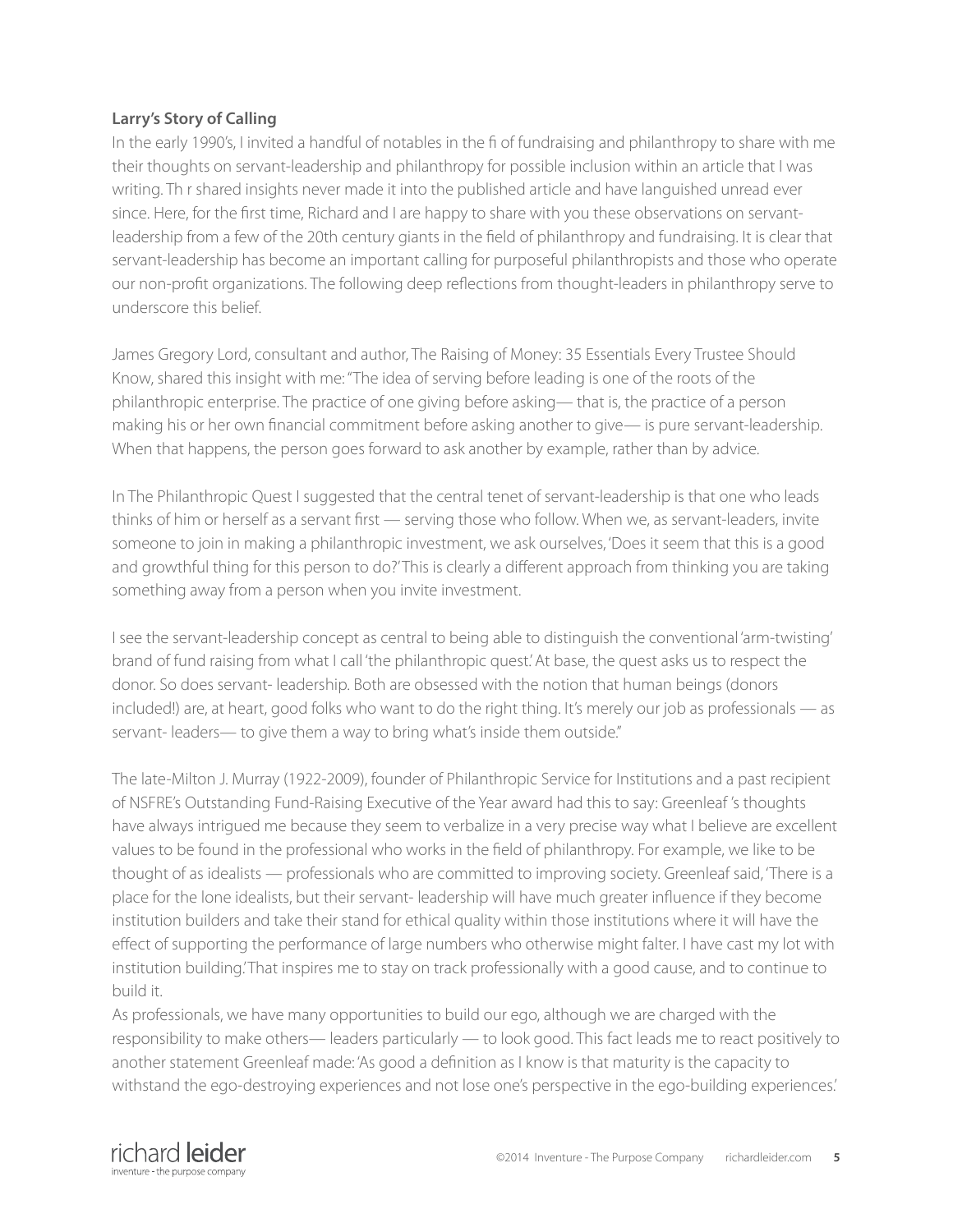## **Larry's Story of Calling**

In the early 1990's, I invited a handful of notables in the fi of fundraising and philanthropy to share with me their thoughts on servant-leadership and philanthropy for possible inclusion within an article that I was writing. Th r shared insights never made it into the published article and have languished unread ever since. Here, for the first time, Richard and I are happy to share with you these observations on servantleadership from a few of the 20th century giants in the field of philanthropy and fundraising. It is clear that servant-leadership has become an important calling for purposeful philanthropists and those who operate our non-profit organizations. The following deep reflections from thought-leaders in philanthropy serve to underscore this belief.

James Gregory Lord, consultant and author, The Raising of Money: 35 Essentials Every Trustee Should Know, shared this insight with me:"The idea of serving before leading is one of the roots of the philanthropic enterprise. The practice of one giving before asking— that is, the practice of a person making his or her own financial commitment before asking another to give— is pure servant-leadership. When that happens, the person goes forward to ask another by example, rather than by advice.

In The Philanthropic Quest I suggested that the central tenet of servant-leadership is that one who leads thinks of him or herself as a servant first — serving those who follow. When we, as servant-leaders, invite someone to join in making a philanthropic investment, we ask ourselves, 'Does it seem that this is a good and growthful thing for this person to do?' This is clearly a different approach from thinking you are taking something away from a person when you invite investment.

I see the servant-leadership concept as central to being able to distinguish the conventional 'arm-twisting' brand of fund raising from what I call 'the philanthropic quest.' At base, the quest asks us to respect the donor. So does servant- leadership. Both are obsessed with the notion that human beings (donors included!) are, at heart, good folks who want to do the right thing. It's merely our job as professionals — as servant- leaders— to give them a way to bring what's inside them outside."

The late-Milton J. Murray (1922-2009), founder of Philanthropic Service for Institutions and a past recipient of NSFRE's Outstanding Fund-Raising Executive of the Year award had this to say: Greenleaf 's thoughts have always intrigued me because they seem to verbalize in a very precise way what I believe are excellent values to be found in the professional who works in the field of philanthropy. For example, we like to be thought of as idealists — professionals who are committed to improving society. Greenleaf said, 'There is a place for the lone idealists, but their servant- leadership will have much greater influence if they become institution builders and take their stand for ethical quality within those institutions where it will have the effect of supporting the performance of large numbers who otherwise might falter. I have cast my lot with institution building.' That inspires me to stay on track professionally with a good cause, and to continue to build it.

As professionals, we have many opportunities to build our ego, although we are charged with the responsibility to make others— leaders particularly — to look good. This fact leads me to react positively to another statement Greenleaf made: 'As good a definition as I know is that maturity is the capacity to withstand the ego-destroying experiences and not lose one's perspective in the ego-building experiences.'

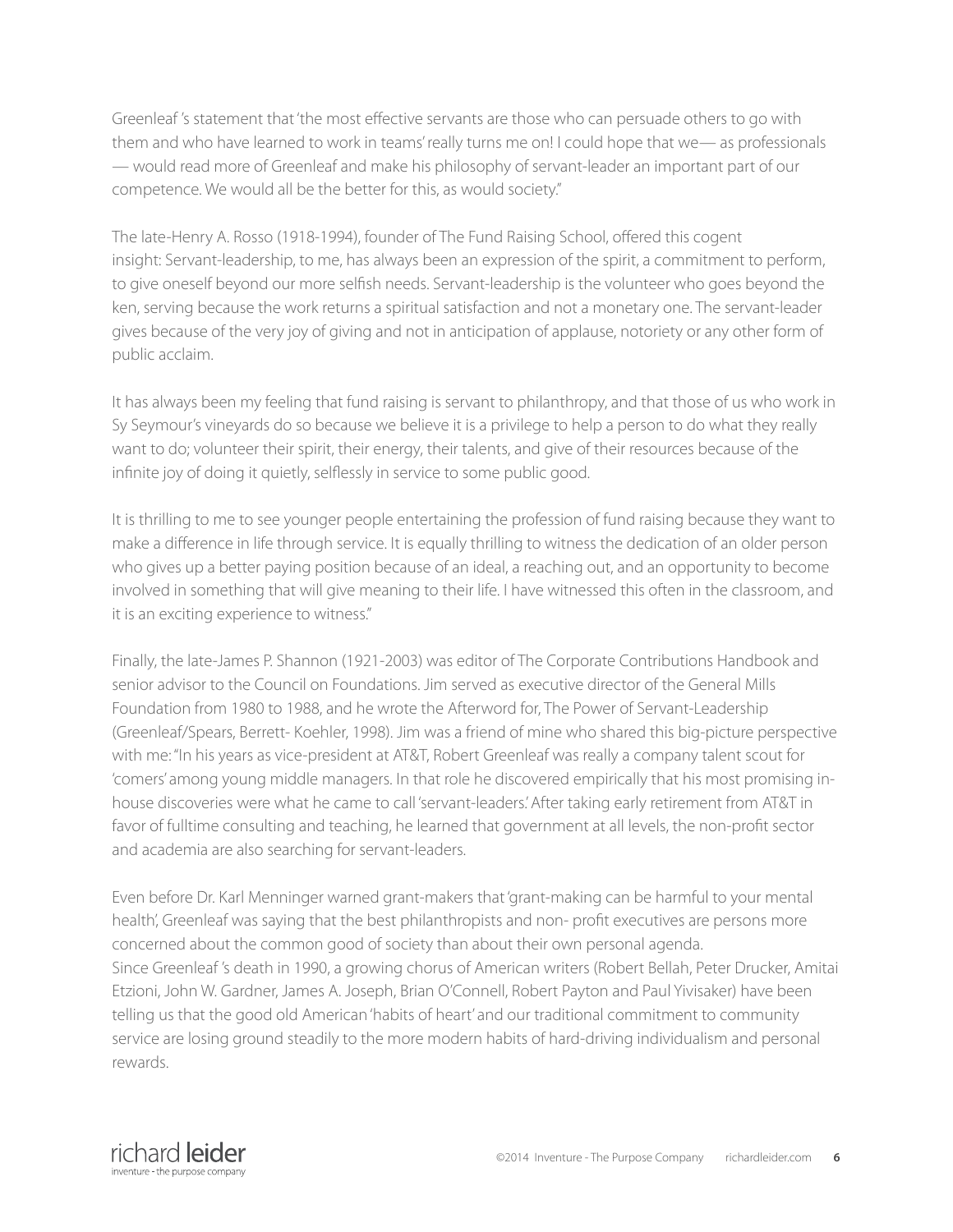Greenleaf 's statement that 'the most effective servants are those who can persuade others to go with them and who have learned to work in teams' really turns me on! I could hope that we— as professionals — would read more of Greenleaf and make his philosophy of servant-leader an important part of our competence. We would all be the better for this, as would society."

The late-Henry A. Rosso (1918-1994), founder of The Fund Raising School, offered this cogent insight: Servant-leadership, to me, has always been an expression of the spirit, a commitment to perform, to give oneself beyond our more selfish needs. Servant-leadership is the volunteer who goes beyond the ken, serving because the work returns a spiritual satisfaction and not a monetary one. The servant-leader gives because of the very joy of giving and not in anticipation of applause, notoriety or any other form of public acclaim.

It has always been my feeling that fund raising is servant to philanthropy, and that those of us who work in Sy Seymour's vineyards do so because we believe it is a privilege to help a person to do what they really want to do; volunteer their spirit, their energy, their talents, and give of their resources because of the infinite joy of doing it quietly, selflessly in service to some public good.

It is thrilling to me to see younger people entertaining the profession of fund raising because they want to make a difference in life through service. It is equally thrilling to witness the dedication of an older person who gives up a better paying position because of an ideal, a reaching out, and an opportunity to become involved in something that will give meaning to their life. I have witnessed this often in the classroom, and it is an exciting experience to witness."

Finally, the late-James P. Shannon (1921-2003) was editor of The Corporate Contributions Handbook and senior advisor to the Council on Foundations. Jim served as executive director of the General Mills Foundation from 1980 to 1988, and he wrote the Afterword for, The Power of Servant-Leadership (Greenleaf/Spears, Berrett- Koehler, 1998). Jim was a friend of mine who shared this big-picture perspective with me: "In his years as vice-president at AT&T, Robert Greenleaf was really a company talent scout for 'comers' among young middle managers. In that role he discovered empirically that his most promising inhouse discoveries were what he came to call 'servant-leaders.' After taking early retirement from AT&T in favor of fulltime consulting and teaching, he learned that government at all levels, the non-profit sector and academia are also searching for servant-leaders.

Even before Dr. Karl Menninger warned grant-makers that 'grant-making can be harmful to your mental health', Greenleaf was saying that the best philanthropists and non- profit executives are persons more concerned about the common good of society than about their own personal agenda. Since Greenleaf 's death in 1990, a growing chorus of American writers (Robert Bellah, Peter Drucker, Amitai Etzioni, John W. Gardner, James A. Joseph, Brian O'Connell, Robert Payton and Paul Yivisaker) have been telling us that the good old American 'habits of heart' and our traditional commitment to community service are losing ground steadily to the more modern habits of hard-driving individualism and personal rewards.

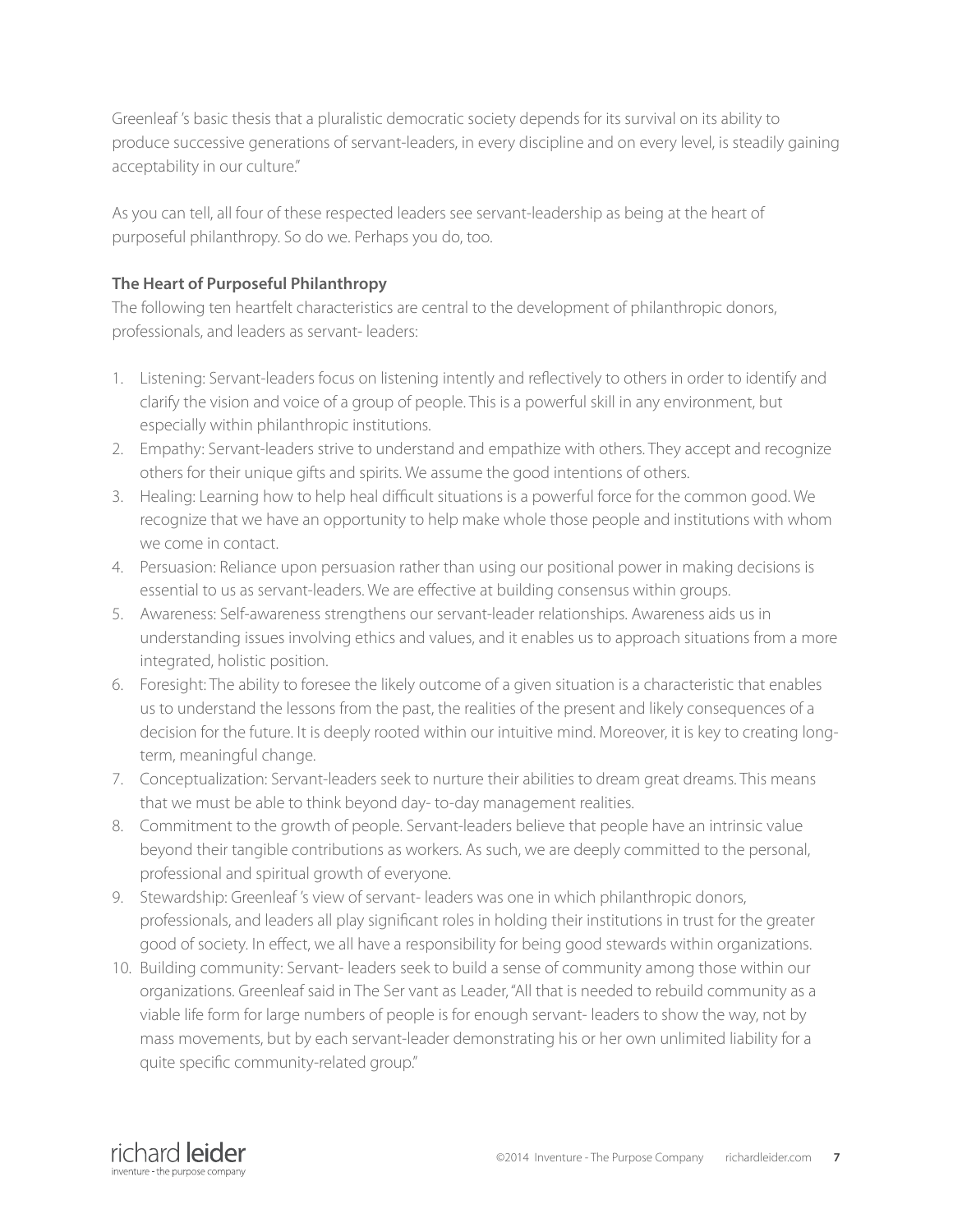Greenleaf 's basic thesis that a pluralistic democratic society depends for its survival on its ability to produce successive generations of servant-leaders, in every discipline and on every level, is steadily gaining acceptability in our culture."

As you can tell, all four of these respected leaders see servant-leadership as being at the heart of purposeful philanthropy. So do we. Perhaps you do, too.

## **The Heart of Purposeful Philanthropy**

The following ten heartfelt characteristics are central to the development of philanthropic donors, professionals, and leaders as servant- leaders:

- 1. Listening: Servant-leaders focus on listening intently and reflectively to others in order to identify and clarify the vision and voice of a group of people. This is a powerful skill in any environment, but especially within philanthropic institutions.
- 2. Empathy: Servant-leaders strive to understand and empathize with others. They accept and recognize others for their unique gifts and spirits. We assume the good intentions of others.
- 3. Healing: Learning how to help heal difficult situations is a powerful force for the common good. We recognize that we have an opportunity to help make whole those people and institutions with whom we come in contact.
- 4. Persuasion: Reliance upon persuasion rather than using our positional power in making decisions is essential to us as servant-leaders. We are effective at building consensus within groups.
- 5. Awareness: Self-awareness strengthens our servant-leader relationships. Awareness aids us in understanding issues involving ethics and values, and it enables us to approach situations from a more integrated, holistic position.
- 6. Foresight: The ability to foresee the likely outcome of a given situation is a characteristic that enables us to understand the lessons from the past, the realities of the present and likely consequences of a decision for the future. It is deeply rooted within our intuitive mind. Moreover, it is key to creating longterm, meaningful change.
- 7. Conceptualization: Servant-leaders seek to nurture their abilities to dream great dreams. This means that we must be able to think beyond day- to-day management realities.
- 8. Commitment to the growth of people. Servant-leaders believe that people have an intrinsic value beyond their tangible contributions as workers. As such, we are deeply committed to the personal, professional and spiritual growth of everyone.
- 9. Stewardship: Greenleaf 's view of servant- leaders was one in which philanthropic donors, professionals, and leaders all play significant roles in holding their institutions in trust for the greater good of society. In effect, we all have a responsibility for being good stewards within organizations.
- 10. Building community: Servant- leaders seek to build a sense of community among those within our organizations. Greenleaf said in The Ser vant as Leader, "All that is needed to rebuild community as a viable life form for large numbers of people is for enough servant- leaders to show the way, not by mass movements, but by each servant-leader demonstrating his or her own unlimited liability for a quite specific community-related group."

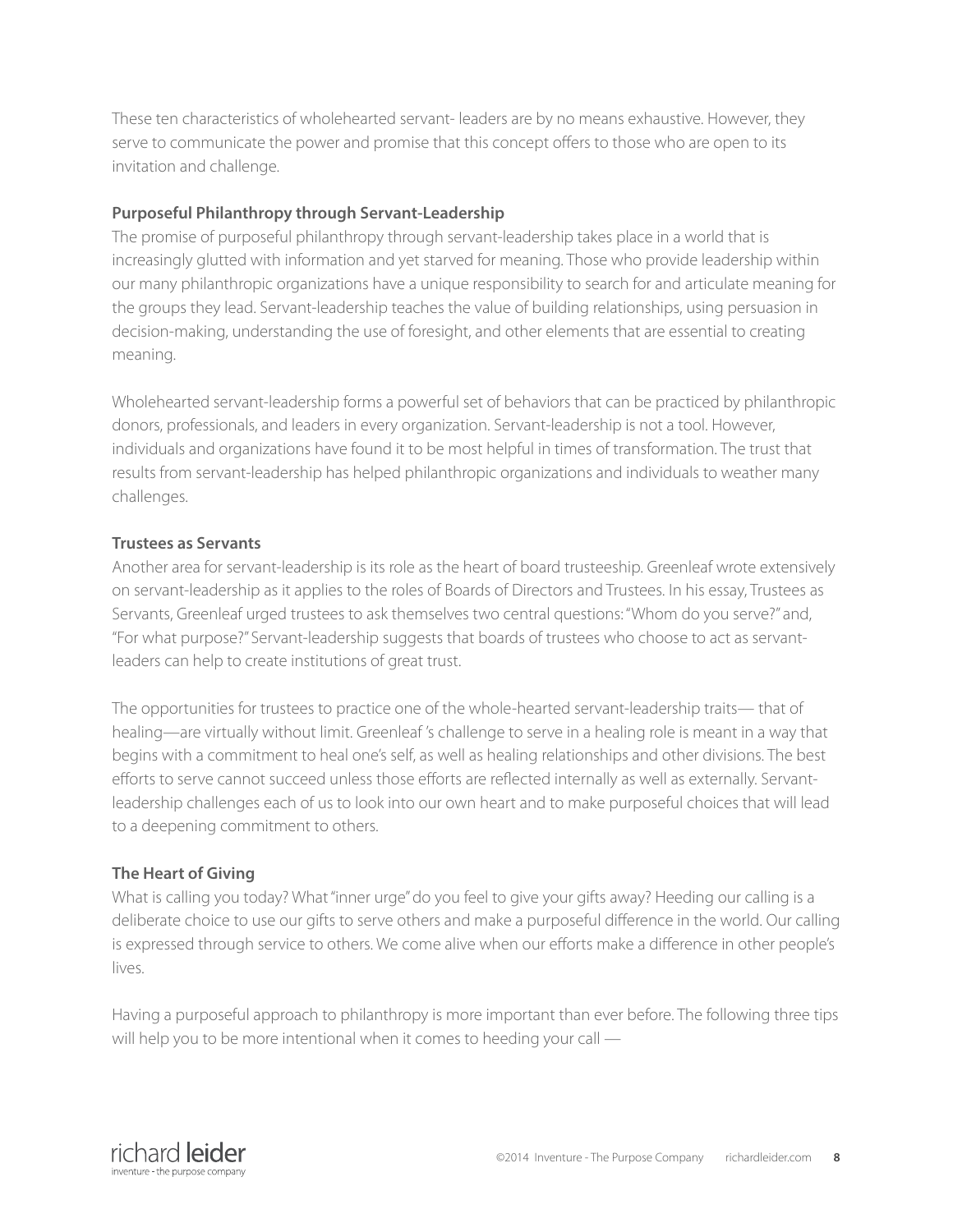These ten characteristics of wholehearted servant- leaders are by no means exhaustive. However, they serve to communicate the power and promise that this concept offers to those who are open to its invitation and challenge.

## **Purposeful Philanthropy through Servant-Leadership**

The promise of purposeful philanthropy through servant-leadership takes place in a world that is increasingly glutted with information and yet starved for meaning. Those who provide leadership within our many philanthropic organizations have a unique responsibility to search for and articulate meaning for the groups they lead. Servant-leadership teaches the value of building relationships, using persuasion in decision-making, understanding the use of foresight, and other elements that are essential to creating meaning.

Wholehearted servant-leadership forms a powerful set of behaviors that can be practiced by philanthropic donors, professionals, and leaders in every organization. Servant-leadership is not a tool. However, individuals and organizations have found it to be most helpful in times of transformation. The trust that results from servant-leadership has helped philanthropic organizations and individuals to weather many challenges.

## **Trustees as Servants**

Another area for servant-leadership is its role as the heart of board trusteeship. Greenleaf wrote extensively on servant-leadership as it applies to the roles of Boards of Directors and Trustees. In his essay, Trustees as Servants, Greenleaf urged trustees to ask themselves two central questions: "Whom do you serve?" and, "For what purpose?" Servant-leadership suggests that boards of trustees who choose to act as servantleaders can help to create institutions of great trust.

The opportunities for trustees to practice one of the whole-hearted servant-leadership traits— that of healing—are virtually without limit. Greenleaf 's challenge to serve in a healing role is meant in a way that begins with a commitment to heal one's self, as well as healing relationships and other divisions. The best efforts to serve cannot succeed unless those efforts are reflected internally as well as externally. Servantleadership challenges each of us to look into our own heart and to make purposeful choices that will lead to a deepening commitment to others.

## **The Heart of Giving**

What is calling you today? What "inner urge" do you feel to give your gifts away? Heeding our calling is a deliberate choice to use our gifts to serve others and make a purposeful difference in the world. Our calling is expressed through service to others. We come alive when our efforts make a difference in other people's lives.

Having a purposeful approach to philanthropy is more important than ever before. The following three tips will help you to be more intentional when it comes to heeding your call —